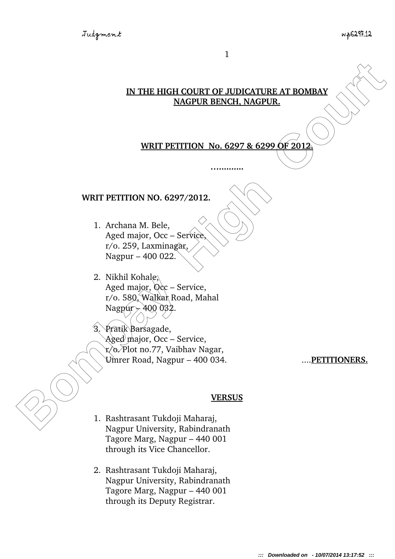### **IN THE HIGH COURT OF JUDICATURE AT BOMBAY NAGPUR BENCH, NAGPUR.**

# **WRIT PETITION No. 6297 & 6299 OF 2012.**

**…..........**

### **WRIT PETITION NO. 6297/2012.**

- 1. Archana M. Bele, Aged major, Occ – Service,  $r$ /o. 259, Laxminagar, Nagpur – 400 022.
- 2. Nikhil Kohale, Aged major,  $Qcc$  – Service, r/o. 580, Walkar Road, Mahal Nagpur  $\rightarrow$  400 032.
- **IN THE HIGH COURT OF JUDICATURE AT BOMBAY**<br>
MACPUR BENCH, NAGPUR,<br>
WRIT PETITION No. 6297 & 6299 OF 2012<br>
<br>
WRIT PETITION NO. 6297/2012.<br>
1. Archana M. Bele,<br>  $\mu$ ged major, Oct Service,<br>
Nagpur 400 022<br>
2. Nikhi Koha 3. Pratik Barsagade, Aged major, Occ – Service, r/o. Plot no.77, Vaibhav Nagar, Umrer Road, Nagpur – 400 034. ....**PETITIONERS.**

#### **VERSUS**

- 1. Rashtrasant Tukdoji Maharaj, Nagpur University, Rabindranath Tagore Marg, Nagpur – 440 001 through its Vice Chancellor.
- 2. Rashtrasant Tukdoji Maharaj, Nagpur University, Rabindranath Tagore Marg, Nagpur – 440 001 through its Deputy Registrar.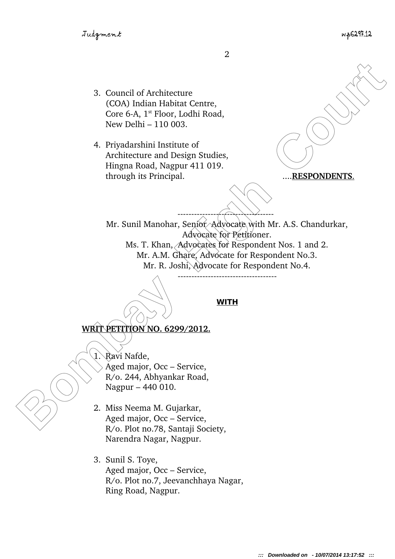- 3. Council of Architecture (COA) Indian Habitat Centre, Core 6-A,  $1^{st}$  Floor, Lodhi Road, New Delhi – 110 003.
- 4. Priyadarshini Institute of Architecture and Design Studies, Hingna Road, Nagpur 411 019. through its Principal. .... **RESPONDENTS**.

3. Council of Architecture<br>
(COM) India Itabia Courte,<br>
Core 6-A, 1" Floor, 1odhi Road,<br>
New Delhi = 110 003.<br>
4. Privadenshimi Institute of<br>
Architecture and Design Studies,<br>
Hingon Road, Nagpur 411 019.<br>
through its Prin Mr. Sunil Manohar, Senior Advocate with Mr. A.S. Chandurkar, Advocate for Petitioner. Ms. T. Khan, Advocates for Respondent Nos. 1 and 2. Mr. A.M. Ghare, Advocate for Respondent No.3. Mr. R. Joshi, Advocate for Respondent No.4.

-----------------------------------

## **WITH**

**WRIT PETITION NO. 6299/2012.**

1. Ravi Nafde,

Aged major, Occ – Service, R/o. 244, Abhyankar Road, Nagpur – 440 010.

- 2. Miss Neema M. Gujarkar, Aged major, Occ – Service, R/o. Plot no.78, Santaji Society, Narendra Nagar, Nagpur.
- 3. Sunil S. Toye, Aged major, Occ – Service, R/o. Plot no.7, Jeevanchhaya Nagar, Ring Road, Nagpur.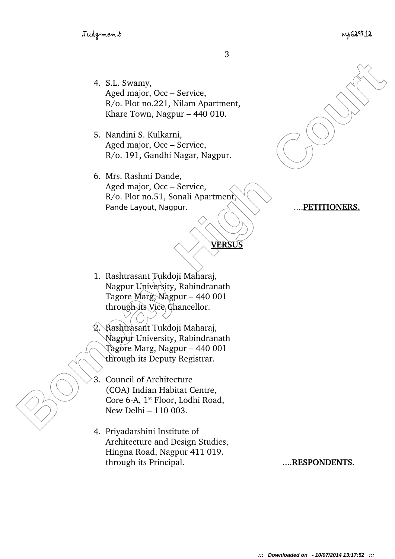- 4. S.L. Swamy, Aged major, Occ – Service, R/o. Plot no.221, Nilam Apartment, Khare Town, Nagpur – 440 010.
- 5. Nandini S. Kulkarni, Aged major, Occ – Service, R/o. 191, Gandhi Nagar, Nagpur.
- 4. S.L. Swamy,<br>
Aged major, Occ Service,<br>
R'o. Diot no.221, Nilan Aparment,<br>
Kharc Town, Nagpur 440 010.<br>
5. Nandhni S. Kulkarni,<br>
Aged major, Occ Service,<br> *Bombas Rashmi Dande*,<br> *Aged major, Occ Service,*<br> *Bomb* 6. Mrs. Rashmi Dande, Aged major, Occ – Service, R/o. Plot no.51, Sonali Apartment, Pande Layout, Nagpur.  $\angle \setminus \setminus \setminus \ldots$  PETITIONERS.

- 1. Rashtrasant Tukdoji Maharaj, Nagpur University, Rabindranath Tagore Marg, Nagpur – 440 001 through its Vice Chancellor.
	- 2. Rashtrasant Tukdoji Maharaj, Nagpur University, Rabindranath Tagore Marg, Nagpur – 440 001 through its Deputy Registrar.
- 3. Council of Architecture (COA) Indian Habitat Centre, Core 6-A, 1<sup>st</sup> Floor, Lodhi Road, New Delhi – 110 003.
- 4. Priyadarshini Institute of Architecture and Design Studies, Hingna Road, Nagpur 411 019. through its Principal. .... **RESPONDENTS**.

**VERSUS**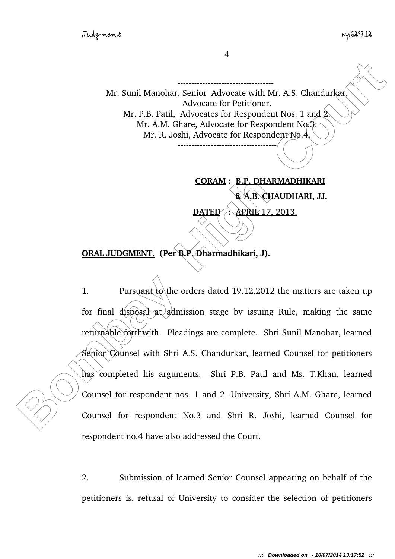4

------------------------------

Mr. Sunil Manohar, Senior Advocate with Mr. A.S. Chandurkar, Advocate for Petitioner. Mr. P.B. Patil, Advocates for Respondent Nos. 1 and 2. Mr. A.M. Ghare, Advocate for Respondent No.3. Mr. R. Joshi, Advocate for Respondent No.4.

 **CORAM : B.P. DHARMADHIKARI & A.B. CHAUDHARI, JJ. DATED :** APRIL 17, 2013.

**ORAL JUDGMENT. (Per B.P. Dharmadhikari, J).**

Mr. Sunil Manohar, Senior Advocate with Mr. A.S. Chandurker<br>
Mr. P.B. Paril, Advocate for Petistioner.<br>
Mr. A. Ghar, Advocate for Respondent Nos. 1 and 2:<br>
Mr. N. Ghar, Advocate for Respondent No.<br>
Mr. R. Joshi, Advocate f 1. Pursuant to the orders dated 19.12.2012 the matters are taken up for final disposal at admission stage by issuing Rule, making the same returnable forthwith. Pleadings are complete. Shri Sunil Manohar, learned Senior Counsel with Shri A.S. Chandurkar, learned Counsel for petitioners has completed his arguments. Shri P.B. Patil and Ms. T.Khan, learned Counsel for respondent nos. 1 and 2 - University, Shri A.M. Ghare, learned Counsel for respondent No.3 and Shri R. Joshi, learned Counsel for respondent no.4 have also addressed the Court.

> 2. Submission of learned Senior Counsel appearing on behalf of the petitioners is, refusal of University to consider the selection of petitioners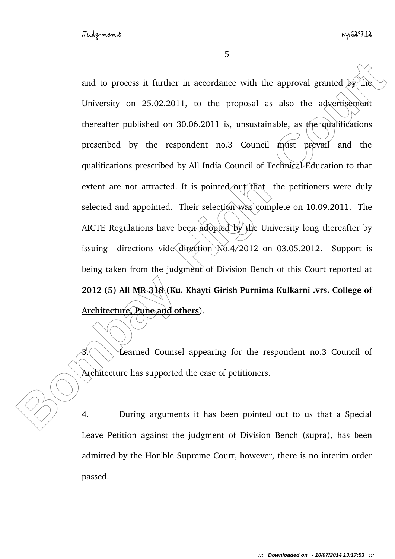and to process it further in accordance with the approval granted by the<br>University on 25.02.2011, to the proposal as also the advertisement<br>thereafter published on 30.06.2011 is, unsustainable, as phe-qualifications<br>presc and to process it further in accordance with the approval granted  $by$  the University on 25.02.2011, to the proposal as also the advertisement thereafter published on 30.06.2011 is, unsustainable, as the qualifications prescribed by the respondent  $\pi$  no.3 Council  $/m$ ust prevail and the qualifications prescribed by All India Council of Technical Education to that extent are not attracted. It is pointed out that the petitioners were duly selected and appointed. Their selection was complete on 10.09.2011. The AICTE Regulations have been adopted by the University long thereafter by issuing directions vide direction No.4/2012 on 03.05.2012. Support is being taken from the judgment of Division Bench of this Court reported at **2012 (5) All MR 318 (Ku. Khayti Girish Purnima Kulkarni .vrs. College of Architecture, Pune and others**).

 $3.$  Learned Counsel appearing for the respondent no.3 Council of Architecture has supported the case of petitioners.

4. During arguments it has been pointed out to us that a Special Leave Petition against the judgment of Division Bench (supra), has been admitted by the Hon'ble Supreme Court, however, there is no interim order passed.